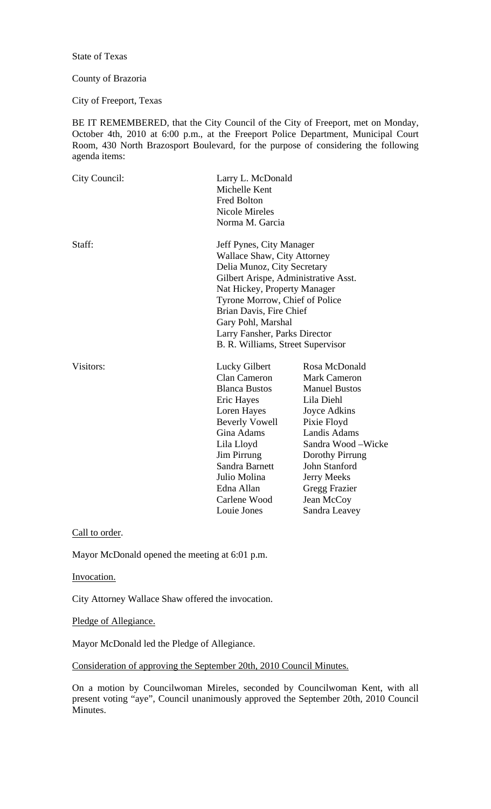State of Texas

## County of Brazoria

City of Freeport, Texas

BE IT REMEMBERED, that the City Council of the City of Freeport, met on Monday, October 4th, 2010 at 6:00 p.m., at the Freeport Police Department, Municipal Court Room, 430 North Brazosport Boulevard, for the purpose of considering the following agenda items:

| City Council: | Larry L. McDonald<br>Michelle Kent<br><b>Fred Bolton</b><br><b>Nicole Mireles</b><br>Norma M. Garcia                                                                                                                                                                                                                    |                                                                                                                                                                                                                                                                   |
|---------------|-------------------------------------------------------------------------------------------------------------------------------------------------------------------------------------------------------------------------------------------------------------------------------------------------------------------------|-------------------------------------------------------------------------------------------------------------------------------------------------------------------------------------------------------------------------------------------------------------------|
| Staff:        | Jeff Pynes, City Manager<br>Wallace Shaw, City Attorney<br>Delia Munoz, City Secretary<br>Gilbert Arispe, Administrative Asst.<br>Nat Hickey, Property Manager<br>Tyrone Morrow, Chief of Police<br>Brian Davis, Fire Chief<br>Gary Pohl, Marshal<br>Larry Fansher, Parks Director<br>B. R. Williams, Street Supervisor |                                                                                                                                                                                                                                                                   |
| Visitors:     | Lucky Gilbert<br><b>Clan Cameron</b><br><b>Blanca Bustos</b><br>Eric Hayes<br>Loren Hayes<br><b>Beverly Vowell</b><br>Gina Adams<br>Lila Lloyd<br>Jim Pirrung<br>Sandra Barnett<br>Julio Molina<br>Edna Allan<br>Carlene Wood<br>Louie Jones                                                                            | Rosa McDonald<br><b>Mark Cameron</b><br><b>Manuel Bustos</b><br>Lila Diehl<br>Joyce Adkins<br>Pixie Floyd<br>Landis Adams<br>Sandra Wood – Wicke<br>Dorothy Pirrung<br><b>John Stanford</b><br><b>Jerry Meeks</b><br>Gregg Frazier<br>Jean McCoy<br>Sandra Leavey |

Call to order.

Mayor McDonald opened the meeting at 6:01 p.m.

Invocation.

City Attorney Wallace Shaw offered the invocation.

Pledge of Allegiance.

Mayor McDonald led the Pledge of Allegiance.

Consideration of approving the September 20th, 2010 Council Minutes.

On a motion by Councilwoman Mireles, seconded by Councilwoman Kent, with all present voting "aye", Council unanimously approved the September 20th, 2010 Council Minutes.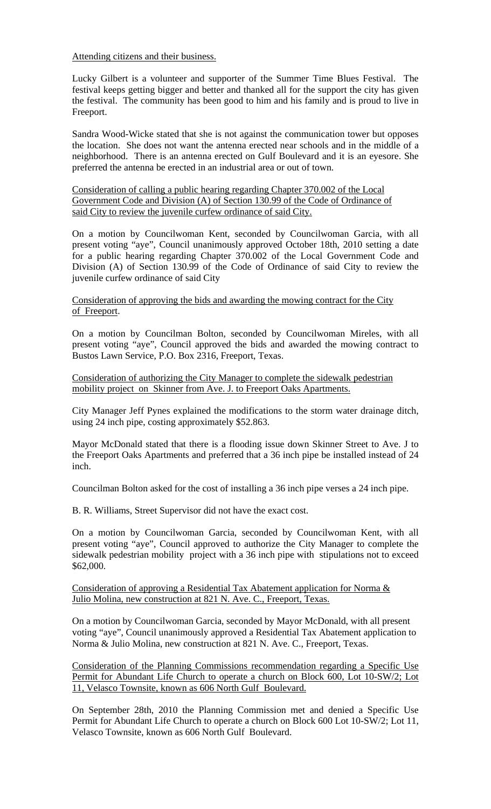Attending citizens and their business.

Lucky Gilbert is a volunteer and supporter of the Summer Time Blues Festival. The festival keeps getting bigger and better and thanked all for the support the city has given the festival. The community has been good to him and his family and is proud to live in Freeport.

Sandra Wood-Wicke stated that she is not against the communication tower but opposes the location. She does not want the antenna erected near schools and in the middle of a neighborhood. There is an antenna erected on Gulf Boulevard and it is an eyesore. She preferred the antenna be erected in an industrial area or out of town.

Consideration of calling a public hearing regarding Chapter 370.002 of the Local Government Code and Division (A) of Section 130.99 of the Code of Ordinance of said City to review the juvenile curfew ordinance of said City.

On a motion by Councilwoman Kent, seconded by Councilwoman Garcia, with all present voting "aye", Council unanimously approved October 18th, 2010 setting a date for a public hearing regarding Chapter 370.002 of the Local Government Code and Division (A) of Section 130.99 of the Code of Ordinance of said City to review the juvenile curfew ordinance of said City

Consideration of approving the bids and awarding the mowing contract for the City of Freeport.

On a motion by Councilman Bolton, seconded by Councilwoman Mireles, with all present voting "aye", Council approved the bids and awarded the mowing contract to Bustos Lawn Service, P.O. Box 2316, Freeport, Texas.

Consideration of authorizing the City Manager to complete the sidewalk pedestrian mobility project on Skinner from Ave. J. to Freeport Oaks Apartments.

City Manager Jeff Pynes explained the modifications to the storm water drainage ditch, using 24 inch pipe, costing approximately \$52.863.

Mayor McDonald stated that there is a flooding issue down Skinner Street to Ave. J to the Freeport Oaks Apartments and preferred that a 36 inch pipe be installed instead of 24 inch.

Councilman Bolton asked for the cost of installing a 36 inch pipe verses a 24 inch pipe.

B. R. Williams, Street Supervisor did not have the exact cost.

On a motion by Councilwoman Garcia, seconded by Councilwoman Kent, with all present voting "aye", Council approved to authorize the City Manager to complete the sidewalk pedestrian mobility project with a 36 inch pipe with stipulations not to exceed \$62,000.

Consideration of approving a Residential Tax Abatement application for Norma & Julio Molina, new construction at 821 N. Ave. C., Freeport, Texas.

On a motion by Councilwoman Garcia, seconded by Mayor McDonald, with all present voting "aye", Council unanimously approved a Residential Tax Abatement application to Norma & Julio Molina, new construction at 821 N. Ave. C., Freeport, Texas.

Consideration of the Planning Commissions recommendation regarding a Specific Use Permit for Abundant Life Church to operate a church on Block 600, Lot 10-SW/2; Lot 11, Velasco Townsite, known as 606 North Gulf Boulevard.

On September 28th, 2010 the Planning Commission met and denied a Specific Use Permit for Abundant Life Church to operate a church on Block 600 Lot 10-SW/2; Lot 11, Velasco Townsite, known as 606 North Gulf Boulevard.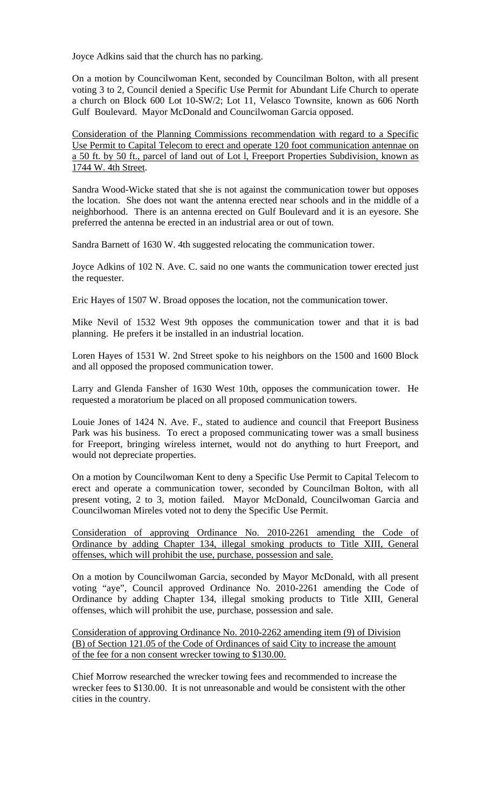Joyce Adkins said that the church has no parking.

On a motion by Councilwoman Kent, seconded by Councilman Bolton, with all present voting 3 to 2, Council denied a Specific Use Permit for Abundant Life Church to operate a church on Block 600 Lot 10-SW/2; Lot 11, Velasco Townsite, known as 606 North Gulf Boulevard. Mayor McDonald and Councilwoman Garcia opposed.

Consideration of the Planning Commissions recommendation with regard to a Specific Use Permit to Capital Telecom to erect and operate 120 foot communication antennae on a 50 ft. by 50 ft., parcel of land out of Lot l, Freeport Properties Subdivision, known as 1744 W. 4th Street.

Sandra Wood-Wicke stated that she is not against the communication tower but opposes the location. She does not want the antenna erected near schools and in the middle of a neighborhood. There is an antenna erected on Gulf Boulevard and it is an eyesore. She preferred the antenna be erected in an industrial area or out of town.

Sandra Barnett of 1630 W. 4th suggested relocating the communication tower.

Joyce Adkins of 102 N. Ave. C. said no one wants the communication tower erected just the requester.

Eric Hayes of 1507 W. Broad opposes the location, not the communication tower.

Mike Nevil of 1532 West 9th opposes the communication tower and that it is bad planning. He prefers it be installed in an industrial location.

Loren Hayes of 1531 W. 2nd Street spoke to his neighbors on the 1500 and 1600 Block and all opposed the proposed communication tower.

Larry and Glenda Fansher of 1630 West 10th, opposes the communication tower. He requested a moratorium be placed on all proposed communication towers.

Louie Jones of 1424 N. Ave. F., stated to audience and council that Freeport Business Park was his business. To erect a proposed communicating tower was a small business for Freeport, bringing wireless internet, would not do anything to hurt Freeport, and would not depreciate properties.

On a motion by Councilwoman Kent to deny a Specific Use Permit to Capital Telecom to erect and operate a communication tower, seconded by Councilman Bolton, with all present voting, 2 to 3, motion failed. Mayor McDonald, Councilwoman Garcia and Councilwoman Mireles voted not to deny the Specific Use Permit.

Consideration of approving Ordinance No. 2010-2261 amending the Code of Ordinance by adding Chapter 134, illegal smoking products to Title XIII, General offenses, which will prohibit the use, purchase, possession and sale.

On a motion by Councilwoman Garcia, seconded by Mayor McDonald, with all present voting "aye", Council approved Ordinance No. 2010-2261 amending the Code of Ordinance by adding Chapter 134, illegal smoking products to Title XIII, General offenses, which will prohibit the use, purchase, possession and sale.

Consideration of approving Ordinance No. 2010-2262 amending item (9) of Division (B) of Section 121.05 of the Code of Ordinances of said City to increase the amount of the fee for a non consent wrecker towing to \$130.00.

Chief Morrow researched the wrecker towing fees and recommended to increase the wrecker fees to \$130.00. It is not unreasonable and would be consistent with the other cities in the country.